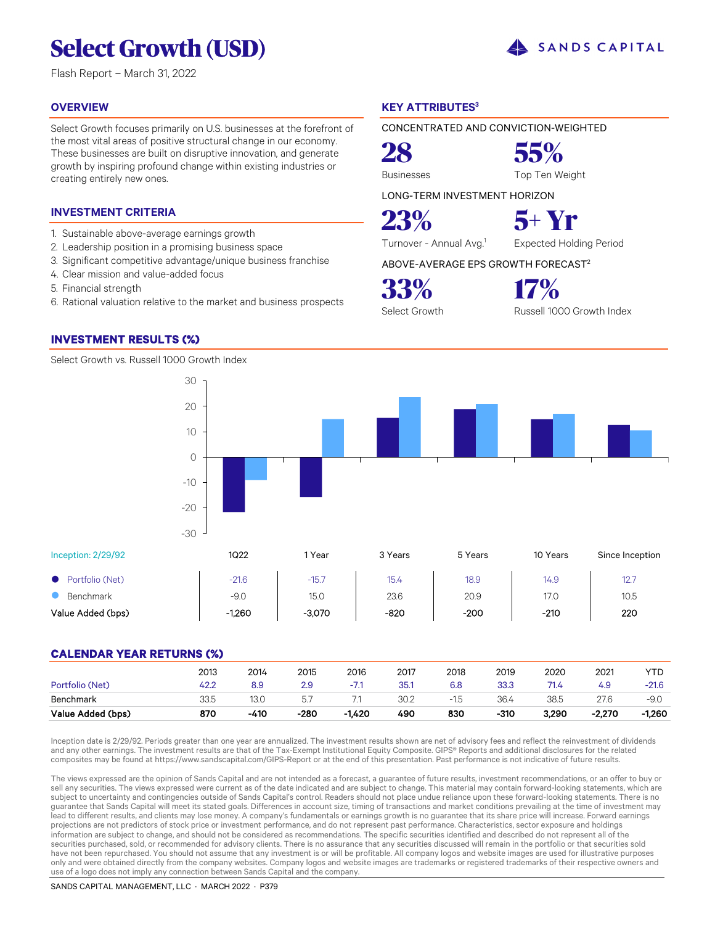# **Select Growth (USD)**

Flash Report – March 31, 2022

### **OVERVIEW**

Select Growth focuses primarily on U.S. businesses at the forefront of the most vital areas of positive structural change in our economy. These businesses are built on disruptive innovation, and generate growth by inspiring profound change within existing industries or creating entirely new ones.

### **INVESTMENT CRITERIA**

- 1. Sustainable above-average earnings growth
- 2. Leadership position in a promising business space
- 3. Significant competitive advantage/unique business franchise
- 4. Clear mission and value-added focus
- 5. Financial strength
- 6. Rational valuation relative to the market and business prospects

### **INVESTMENT RESULTS (%)**

Select Growth vs. Russell 1000 Growth Index

### **KEY ATTRIBUTES<sup>3</sup>**

CONCENTRATED AND CONVICTION-WEIGHTED

**28 55%** Businesses Top Ten Weight

LONG-TERM INVESTMENT HORIZON

Turnover - Annual Avg.<sup>1</sup> Expected Holding Period

ABOVE-AVERAGE EPS GROWTH FORECAST<sup>2</sup>

**33% 17%**

Select Growth Russell 1000 Growth Index

Inception: 2/29/92 1Q22 1 Year 3 Years 5 Years 10 Years Since Inception ● Portfolio (Net) -21.6 -15.7 15.4 18.9 14.9 12.7 **8** Benchmark **120 120.0** 15.0 15.0 23.6 20.9 17.0 10.5 Value Added (bps) | -1,260 | -3,070 | -820 | -200 | -210 | 220 -30 -20  $-10$ 0 10

### **CALENDAR YEAR RETURNS (%)**

| Portfolio (Net)<br>Benchmark | 42.2<br>33.5 | 8.9<br>13.0 | 2.9<br>57 |          | 35.1<br>30.2 | 6.8 | 33.3<br>36.4 | 71.4<br>38.5 | 4.9<br>27.6 | $-21.6$<br>$-9.0$ |
|------------------------------|--------------|-------------|-----------|----------|--------------|-----|--------------|--------------|-------------|-------------------|
| Value Added (bps)            | 870          | $-410$      | $-280$    | $-1.420$ | 490          | 830 | -310         | 3,290        | $-2.270$    | -1,260            |

Inception date is 2/29/92. Periods greater than one year are annualized. The investment results shown are net of advisory fees and reflect the reinvestment of dividends and any other earnings. The investment results are that of the Tax-Exempt Institutional Equity Composite. GIPS® Reports and additional disclosures for the related composites may be found at https://www.sandscapital.com/GIPS-Report or at the end of this presentation. Past performance is not indicative of future results.

The views expressed are the opinion of Sands Capital and are not intended as a forecast, a guarantee of future results, investment recommendations, or an offer to buy or sell any securities. The views expressed were current as of the date indicated and are subject to change. This material may contain forward-looking statements, which are subject to uncertainty and contingencies outside of Sands Capital's control. Readers should not place undue reliance upon these forward-looking statements. There is no guarantee that Sands Capital will meet its stated goals. Differences in account size, timing of transactions and market conditions prevailing at the time of investment may lead to different results, and clients may lose money. A company's fundamentals or earnings growth is no guarantee that its share price will increase. Forward earnings projections are not predictors of stock price or investment performance, and do not represent past performance. Characteristics, sector exposure and holdings information are subject to change, and should not be considered as recommendations. The specific securities identified and described do not represent all of the securities purchased, sold, or recommended for advisory clients. There is no assurance that any securities discussed will remain in the portfolio or that securities sold have not been repurchased. You should not assume that any investment is or will be profitable. All company logos and website images are used for illustrative purposes only and were obtained directly from the company websites. Company logos and website images are trademarks or registered trademarks of their respective owners and use of a logo does not imply any connection between Sands Capital and the company.

SANDS CAPITAL MANAGEMENT, LLC · MARCH 2022 · P379





**23% 5+ Yr**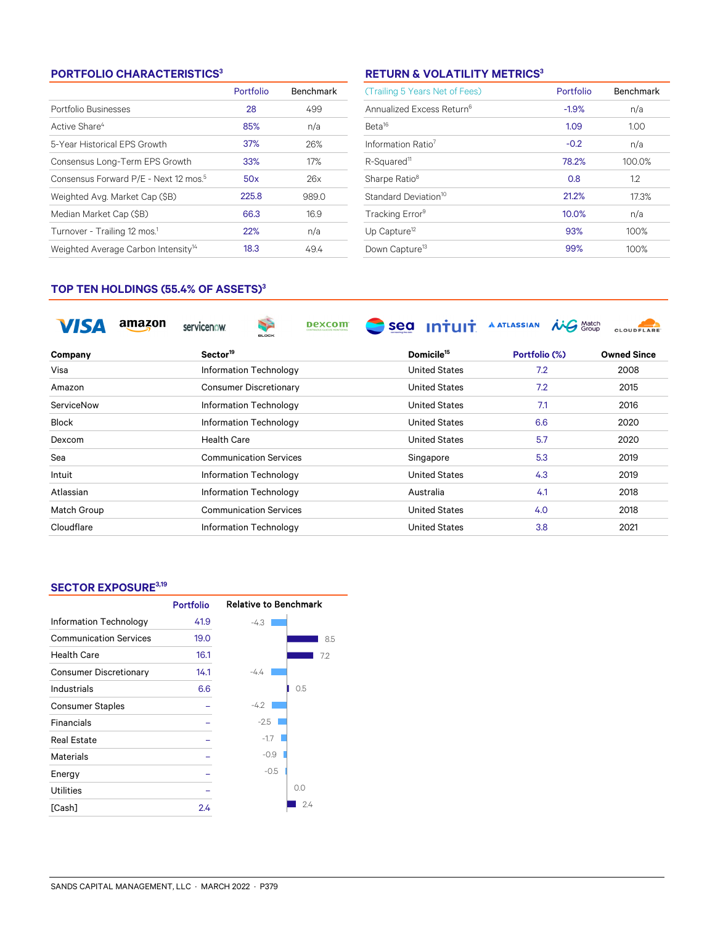### **PORTFOLIO CHARACTERISTICS<sup>3</sup>**

|                                                   | Portfolio | <b>Benchmark</b> |
|---------------------------------------------------|-----------|------------------|
| Portfolio Businesses                              | 28        | 499              |
| Active Share <sup>4</sup>                         | 85%       | n/a              |
| 5-Year Historical EPS Growth                      | 37%       | 26%              |
| Consensus Long-Term EPS Growth                    | 33%       | 17%              |
| Consensus Forward P/E - Next 12 mos. <sup>5</sup> | 50x       | 26x              |
| Weighted Avg. Market Cap (\$B)                    | 225.8     | 989.0            |
| Median Market Cap (\$B)                           | 66.3      | 16.9             |
| Turnover - Trailing 12 mos. <sup>1</sup>          | 22%       | n/a              |
| Weighted Average Carbon Intensity <sup>14</sup>   | 18.3      | 49.4             |

### **RETURN & VOLATILITY METRICS<sup>3</sup>**

| (Trailing 5 Years Net of Fees)        | Portfolio | Benchmark |
|---------------------------------------|-----------|-----------|
| Annualized Excess Return <sup>6</sup> | $-1.9%$   | n/a       |
| Beta <sup>16</sup>                    | 1.09      | 1.00      |
| Information Ratio <sup>7</sup>        | $-0.2$    | n/a       |
| R-Squared <sup>11</sup>               | 78.2%     | 100.0%    |
| Sharpe Ratio <sup>8</sup>             | 0.8       | 1.2       |
| Standard Deviation <sup>10</sup>      | 21.2%     | 17.3%     |
| Tracking Error <sup>9</sup>           | 10.0%     | n/a       |
| Up Capture <sup>12</sup>              | 93%       | 100%      |
| Down Capture <sup>13</sup>            | 99%       | 100%      |

### **TOP TEN HOLDINGS (55.4% OF ASSETS)<sup>3</sup>**

|              | amazon | servicenow           | <b>Table</b><br><b>BLOCK</b>  | <b>Dexcom</b> | sea | <u>ıntuıt</u>          | <b>A ATLASSIAN</b> | S Match | <b>CLOUDFLARE</b>  |
|--------------|--------|----------------------|-------------------------------|---------------|-----|------------------------|--------------------|---------|--------------------|
| Company      |        | Sector <sup>19</sup> |                               |               |     | Domicile <sup>15</sup> | Portfolio (%)      |         | <b>Owned Since</b> |
| Visa         |        |                      | Information Technology        |               |     | <b>United States</b>   | 7.2                |         | 2008               |
| Amazon       |        |                      | <b>Consumer Discretionary</b> |               |     | <b>United States</b>   | 7.2                |         | 2015               |
| ServiceNow   |        |                      | Information Technology        |               |     | <b>United States</b>   | 7.1                |         | 2016               |
| <b>Block</b> |        |                      | Information Technology        |               |     | <b>United States</b>   | 6.6                |         | 2020               |
| Dexcom       |        | <b>Health Care</b>   |                               |               |     | <b>United States</b>   | 5.7                |         | 2020               |
| Sea          |        |                      | <b>Communication Services</b> |               |     | Singapore              | 5.3                |         | 2019               |
| Intuit       |        |                      | Information Technology        |               |     | <b>United States</b>   | 4.3                |         | 2019               |
| Atlassian    |        |                      | Information Technology        |               |     | Australia              | 4.1                |         | 2018               |
| Match Group  |        |                      | <b>Communication Services</b> |               |     | <b>United States</b>   | 4.0                |         | 2018               |
| Cloudflare   |        |                      | Information Technology        |               |     | <b>United States</b>   | 3.8                |         | 2021               |

### **SECTOR EXPOSURE3,19**

|                               | <b>Portfolio</b> | <b>Relative to Benchmark</b> |
|-------------------------------|------------------|------------------------------|
| Information Technology        | 41.9             | $-4.3$                       |
| <b>Communication Services</b> | 19.0             | 8.5                          |
| <b>Health Care</b>            | 16.1             | 7.2                          |
| <b>Consumer Discretionary</b> | 14.1             | $-4.4$                       |
| Industrials                   | 6.6              | 0.5                          |
| <b>Consumer Staples</b>       |                  | $-4.2$                       |
| Financials                    |                  | $-2.5$                       |
| <b>Real Estate</b>            |                  | $-1.7$                       |
| Materials                     |                  | $-0.9$                       |
| Energy                        |                  | $-0.5$                       |
| <b>Utilities</b>              |                  | 0.0                          |
| [Cash]                        | 2.4              | 2.4                          |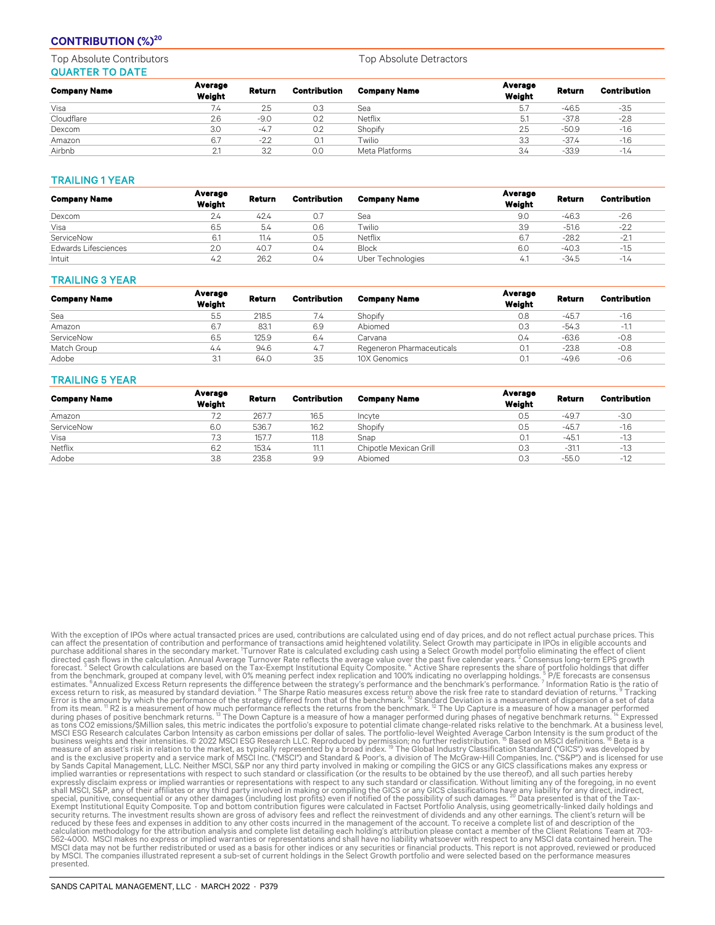### **CONTRIBUTION (%)<sup>20</sup>**

Top Absolute Contributors Top Absolute Detractors QUARTER TO DATE

| <b>Company Name</b> | Average<br>Weight | Return | Contribution | <b>Company Name</b> | Average<br>Weight | Return  | <b>Contribution</b> |
|---------------------|-------------------|--------|--------------|---------------------|-------------------|---------|---------------------|
| Visa                | 7.4               | 2.5    | 0.3          | Sea                 | 5.7               | $-46.5$ | $-3.5$              |
| Cloudflare          | 2.6               | $-9.0$ | 0.2          | Netflix             | 5.1               | $-37.8$ | $-2.8$              |
| Dexcom              | 3.0               | $-4.7$ | 0.2          | Shopify             | 2.5               | $-50.9$ | $-1.6$              |
| Amazon              | 6.7               | $-2.2$ | 0.1          | Twilio              | 3.3               | $-37.4$ | $-1.6$              |
| Airbnb              | 2.1               | 3.2    | 0.0          | Meta Platforms      | 3.4               | $-33.9$ | $-1.4$              |

### TRAILING 1 YEAR

| <b>Company Name</b>         | Average<br>Weight | Return | Contribution | <b>Company Name</b> | Average<br>Weight | Return  | <b>Contribution</b> |
|-----------------------------|-------------------|--------|--------------|---------------------|-------------------|---------|---------------------|
| Dexcom                      | 2.4               | 42.4   | O.7          | Sea                 | 9.0               | -46.3   | $-2.6$              |
| Visa                        | 6.5               | 5.4    | 0.6          | Twilio              | 3.9               | $-51.6$ | $-2.2$              |
| ServiceNow                  | 6.1               | 11.4   | 0.5          | Netflix             | 6.7               | $-28.2$ | $-2.1$              |
| <b>Edwards Lifesciences</b> | 2.0               | 40.7   | 0.4          | <b>Block</b>        | 6.C               | $-40.3$ | $-1.5$              |
| Intuit                      | 4.2               | 26.2   | 0.4          | Uber Technologies   | 4.1               | $-34.5$ | $-1.4$              |

### TRAILING 3 YEAR

| <b>Company Name</b> | Average<br>Weight | Return | <b>Contribution</b> | <b>Company Name</b>       | Average<br>Weight | Return  | <b>Contribution</b> |
|---------------------|-------------------|--------|---------------------|---------------------------|-------------------|---------|---------------------|
| Sea                 | 5.5               | 218.5  | 7.4                 | Shopify                   | 0.8               | $-45.7$ | $-1.6$              |
| Amazon              | 6.7               | 83.1   | 6.9                 | Abiomed                   | 0.3               | $-54.3$ | $-1.1$              |
| ServiceNow          | 6.5               | 125.9  | 6.4                 | Carvana                   | 0.4               | $-63.6$ | $-0.8$              |
| Match Group         | 4.4               | 94.6   | 4.7                 | Regeneron Pharmaceuticals | 0.1               | $-23.8$ | $-0.8$              |
| Adobe               | 3.1               | 64.0   | 3.5                 | 10X Genomics              |                   | $-49.6$ | $-0.6$              |

### TRAILING 5 YEAR

| <b>Company Name</b> | Average<br>Weight | Return | Contribution | <b>Company Name</b>    | Average<br>Weight | Return  | <b>Contribution</b> |
|---------------------|-------------------|--------|--------------|------------------------|-------------------|---------|---------------------|
| Amazon              | 7.2               | 267.7  | 16.5         | Incyte                 | 0.5               | $-49.7$ | $-3.0$              |
| ServiceNow          | 6.0               | 536.7  | 16.2         | Shopify                | 0.5               | $-45.7$ | $-1.6$              |
| Visa                | 7.3               | 157.7  | 11.8         | Snap                   |                   | $-45.1$ | $-1.3$              |
| Netflix             | 6.2               | 153.4  | 11.7         | Chipotle Mexican Grill | 0.3               | $-31.1$ | $-1.3$              |
| Adobe               | 3.8               | 235.8  | 9.9          | Abiomed                | 0.3               | $-55.0$ | $-1.2$              |

With the exception of PPS where actual transacted prices are used, contributions are calculated using end of day prices, and do not reflect actual property and the exception of PPOs in eligible accounts and<br>wear affect the shall MSCI, S&P, any of their affiliates or any third party involved in making or compiling the GICS or any GICS classifications have any liability for any direct, indirect,<br>special, punitive, consequential or any other da calculation methodology for the attribution analysis and complete list detailing each holding's attribution please contact a member of the Client Relations Team at 703-<br>562-4000. MSCI makes no express or implied warranties presented.